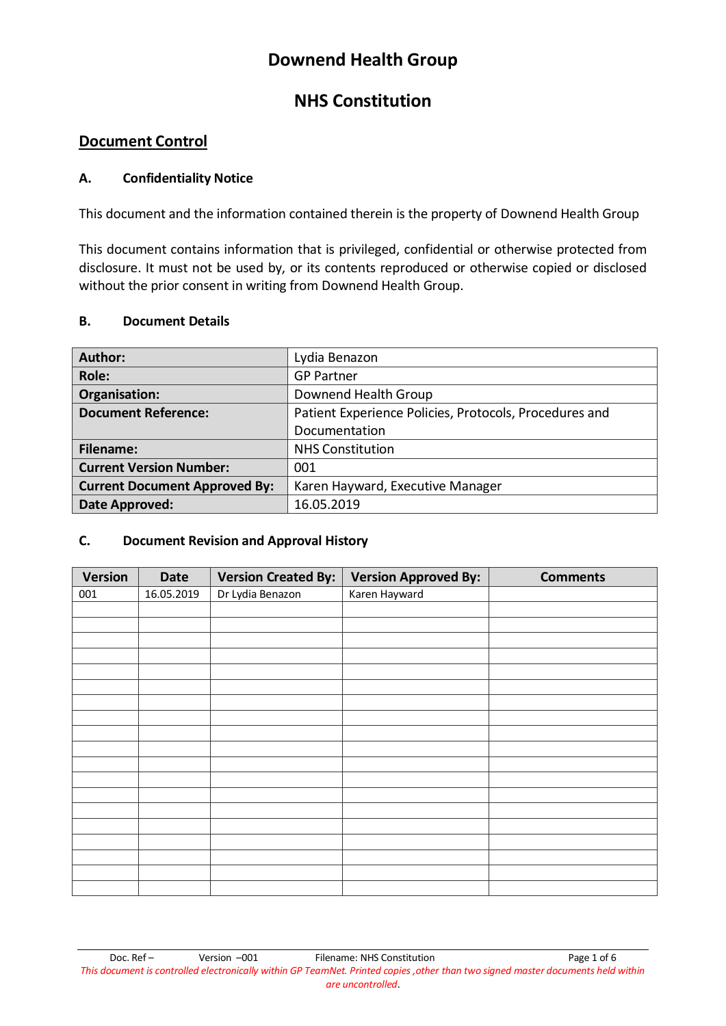# **Downend Health Group**

# **NHS Constitution**

## **Document Control**

#### **A. Confidentiality Notice**

This document and the information contained therein is the property of Downend Health Group

This document contains information that is privileged, confidential or otherwise protected from disclosure. It must not be used by, or its contents reproduced or otherwise copied or disclosed without the prior consent in writing from Downend Health Group.

#### **B. Document Details**

| Author:                              | Lydia Benazon                                          |  |  |
|--------------------------------------|--------------------------------------------------------|--|--|
| Role:                                | <b>GP Partner</b>                                      |  |  |
| Organisation:                        | Downend Health Group                                   |  |  |
| <b>Document Reference:</b>           | Patient Experience Policies, Protocols, Procedures and |  |  |
|                                      | Documentation                                          |  |  |
| Filename:                            | <b>NHS Constitution</b>                                |  |  |
| <b>Current Version Number:</b>       | 001                                                    |  |  |
| <b>Current Document Approved By:</b> | Karen Hayward, Executive Manager                       |  |  |
| Date Approved:                       | 16.05.2019                                             |  |  |

#### **C. Document Revision and Approval History**

| <b>Version</b> | <b>Date</b> | <b>Version Created By:</b> | <b>Version Approved By:</b> | <b>Comments</b> |
|----------------|-------------|----------------------------|-----------------------------|-----------------|
| 001            | 16.05.2019  | Dr Lydia Benazon           | Karen Hayward               |                 |
|                |             |                            |                             |                 |
|                |             |                            |                             |                 |
|                |             |                            |                             |                 |
|                |             |                            |                             |                 |
|                |             |                            |                             |                 |
|                |             |                            |                             |                 |
|                |             |                            |                             |                 |
|                |             |                            |                             |                 |
|                |             |                            |                             |                 |
|                |             |                            |                             |                 |
|                |             |                            |                             |                 |
|                |             |                            |                             |                 |
|                |             |                            |                             |                 |
|                |             |                            |                             |                 |
|                |             |                            |                             |                 |
|                |             |                            |                             |                 |
|                |             |                            |                             |                 |
|                |             |                            |                             |                 |
|                |             |                            |                             |                 |

Doc. Ref – Version –001 Filename: NHS Constitution Page 1 of 6 *This document is controlled electronically within GP TeamNet. Printed copies ,other than two signed master documents held within are uncontrolled*.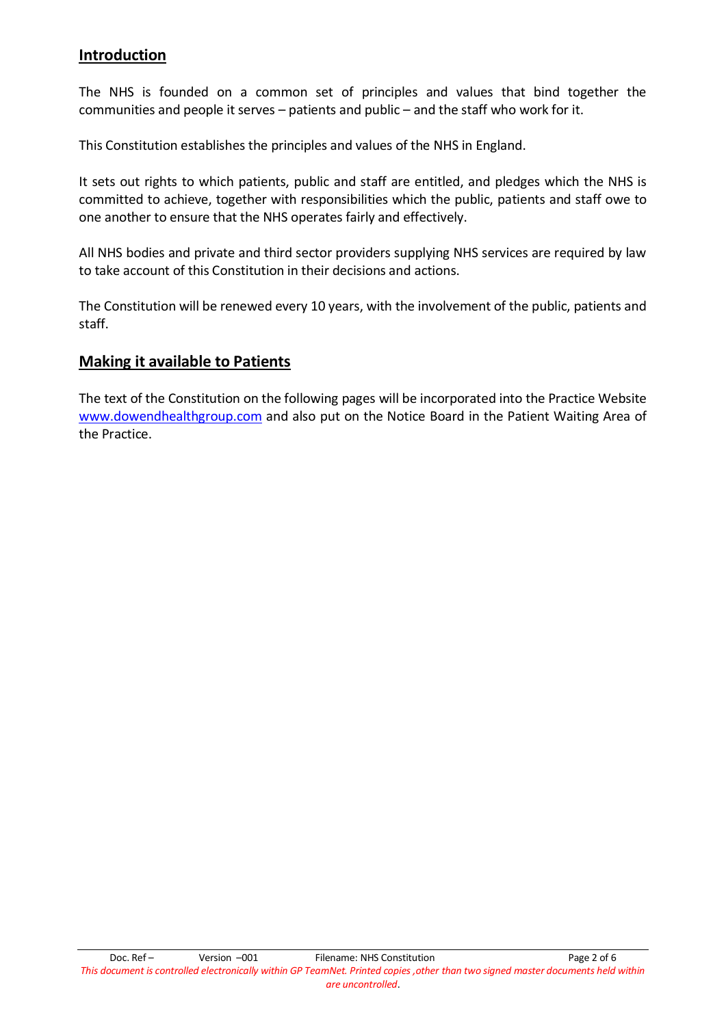#### **Introduction**

The NHS is founded on a common set of principles and values that bind together the communities and people it serves – patients and public – and the staff who work for it.

This Constitution establishes the principles and values of the NHS in England.

It sets out rights to which patients, public and staff are entitled, and pledges which the NHS is committed to achieve, together with responsibilities which the public, patients and staff owe to one another to ensure that the NHS operates fairly and effectively.

All NHS bodies and private and third sector providers supplying NHS services are required by law to take account of this Constitution in their decisions and actions.

The Constitution will be renewed every 10 years, with the involvement of the public, patients and staff.

## **Making it available to Patients**

The text of the Constitution on the following pages will be incorporated into the Practice Website [www.dowendhealthgroup.com](http://www.dowendhealthgroup.com/) and also put on the Notice Board in the Patient Waiting Area of the Practice.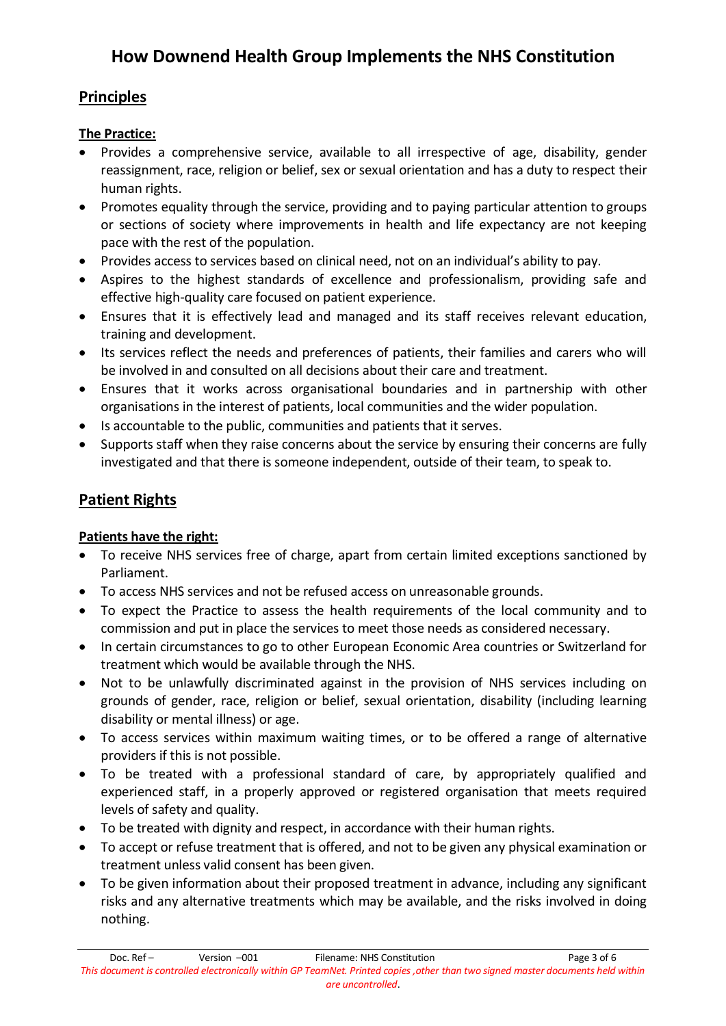# **How Downend Health Group Implements the NHS Constitution**

# **Principles**

## **The Practice:**

- Provides a comprehensive service, available to all irrespective of age, disability, gender reassignment, race, religion or belief, sex or sexual orientation and has a duty to respect their human rights.
- Promotes equality through the service, providing and to paying particular attention to groups or sections of society where improvements in health and life expectancy are not keeping pace with the rest of the population.
- Provides access to services based on clinical need, not on an individual's ability to pay.
- Aspires to the highest standards of excellence and professionalism, providing safe and effective high-quality care focused on patient experience.
- Ensures that it is effectively lead and managed and its staff receives relevant education, training and development.
- Its services reflect the needs and preferences of patients, their families and carers who will be involved in and consulted on all decisions about their care and treatment.
- Ensures that it works across organisational boundaries and in partnership with other organisations in the interest of patients, local communities and the wider population.
- Is accountable to the public, communities and patients that it serves.
- Supports staff when they raise concerns about the service by ensuring their concerns are fully investigated and that there is someone independent, outside of their team, to speak to.

# **Patient Rights**

## **Patients have the right:**

- To receive NHS services free of charge, apart from certain limited exceptions sanctioned by Parliament.
- To access NHS services and not be refused access on unreasonable grounds.
- To expect the Practice to assess the health requirements of the local community and to commission and put in place the services to meet those needs as considered necessary.
- In certain circumstances to go to other European Economic Area countries or Switzerland for treatment which would be available through the NHS.
- Not to be unlawfully discriminated against in the provision of NHS services including on grounds of gender, race, religion or belief, sexual orientation, disability (including learning disability or mental illness) or age.
- To access services within maximum waiting times, or to be offered a range of alternative providers if this is not possible.
- To be treated with a professional standard of care, by appropriately qualified and experienced staff, in a properly approved or registered organisation that meets required levels of safety and quality.
- To be treated with dignity and respect, in accordance with their human rights.
- To accept or refuse treatment that is offered, and not to be given any physical examination or treatment unless valid consent has been given.
- To be given information about their proposed treatment in advance, including any significant risks and any alternative treatments which may be available, and the risks involved in doing nothing.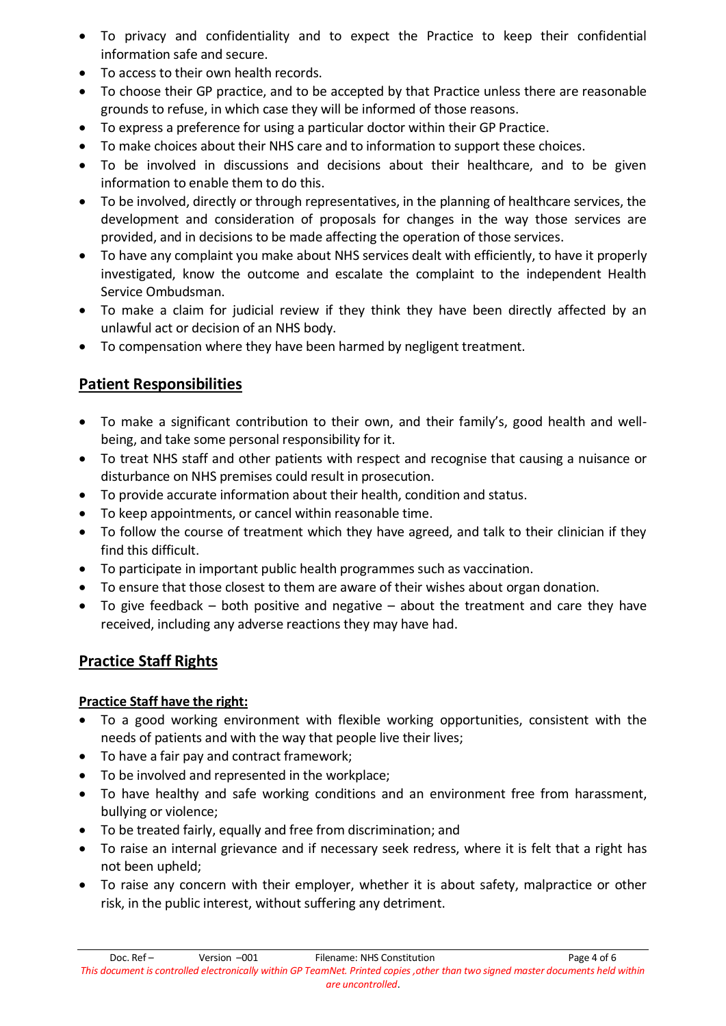- To privacy and confidentiality and to expect the Practice to keep their confidential information safe and secure.
- To access to their own health records.
- To choose their GP practice, and to be accepted by that Practice unless there are reasonable grounds to refuse, in which case they will be informed of those reasons.
- To express a preference for using a particular doctor within their GP Practice.
- To make choices about their NHS care and to information to support these choices.
- To be involved in discussions and decisions about their healthcare, and to be given information to enable them to do this.
- To be involved, directly or through representatives, in the planning of healthcare services, the development and consideration of proposals for changes in the way those services are provided, and in decisions to be made affecting the operation of those services.
- To have any complaint you make about NHS services dealt with efficiently, to have it properly investigated, know the outcome and escalate the complaint to the independent Health Service Ombudsman.
- To make a claim for judicial review if they think they have been directly affected by an unlawful act or decision of an NHS body.
- To compensation where they have been harmed by negligent treatment.

# **Patient Responsibilities**

- To make a significant contribution to their own, and their family's, good health and wellbeing, and take some personal responsibility for it.
- To treat NHS staff and other patients with respect and recognise that causing a nuisance or disturbance on NHS premises could result in prosecution.
- To provide accurate information about their health, condition and status.
- To keep appointments, or cancel within reasonable time.
- To follow the course of treatment which they have agreed, and talk to their clinician if they find this difficult.
- To participate in important public health programmes such as vaccination.
- To ensure that those closest to them are aware of their wishes about organ donation.
- To give feedback both positive and negative about the treatment and care they have received, including any adverse reactions they may have had.

# **Practice Staff Rights**

## **Practice Staff have the right:**

- To a good working environment with flexible working opportunities, consistent with the needs of patients and with the way that people live their lives;
- To have a fair pay and contract framework;
- To be involved and represented in the workplace;
- To have healthy and safe working conditions and an environment free from harassment, bullying or violence;
- To be treated fairly, equally and free from discrimination; and
- To raise an internal grievance and if necessary seek redress, where it is felt that a right has not been upheld;
- To raise any concern with their employer, whether it is about safety, malpractice or other risk, in the public interest, without suffering any detriment.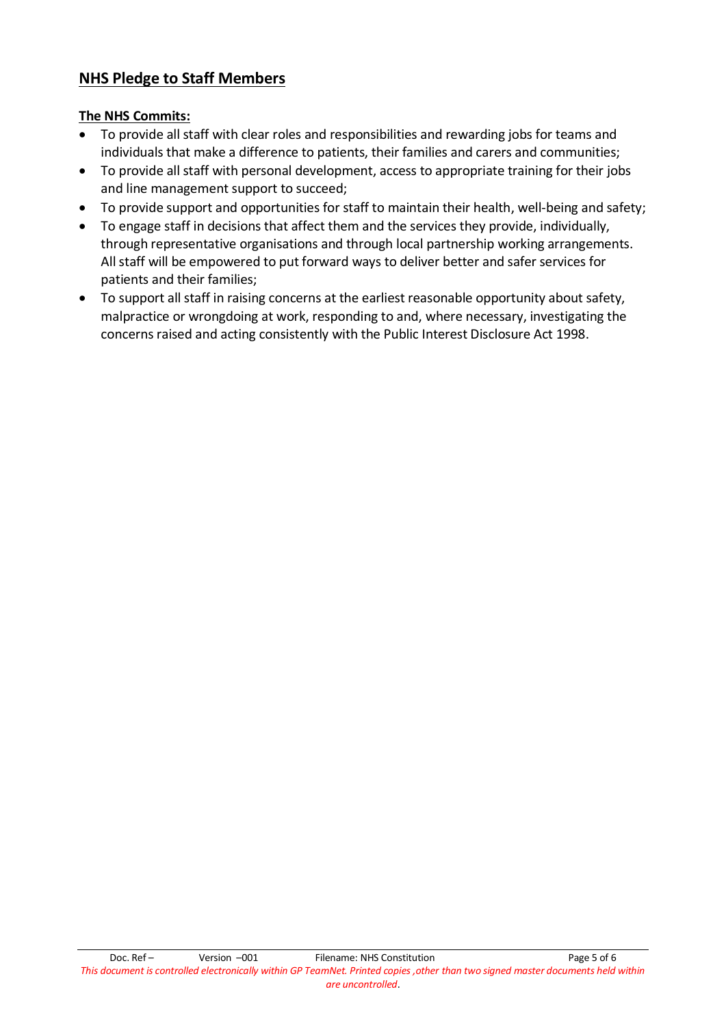# **NHS Pledge to Staff Members**

#### **The NHS Commits:**

- To provide all staff with clear roles and responsibilities and rewarding jobs for teams and individuals that make a difference to patients, their families and carers and communities;
- To provide all staff with personal development, access to appropriate training for their jobs and line management support to succeed;
- To provide support and opportunities for staff to maintain their health, well-being and safety;
- To engage staff in decisions that affect them and the services they provide, individually, through representative organisations and through local partnership working arrangements. All staff will be empowered to put forward ways to deliver better and safer services for patients and their families;
- To support all staff in raising concerns at the earliest reasonable opportunity about safety, malpractice or wrongdoing at work, responding to and, where necessary, investigating the concerns raised and acting consistently with the Public Interest Disclosure Act 1998.